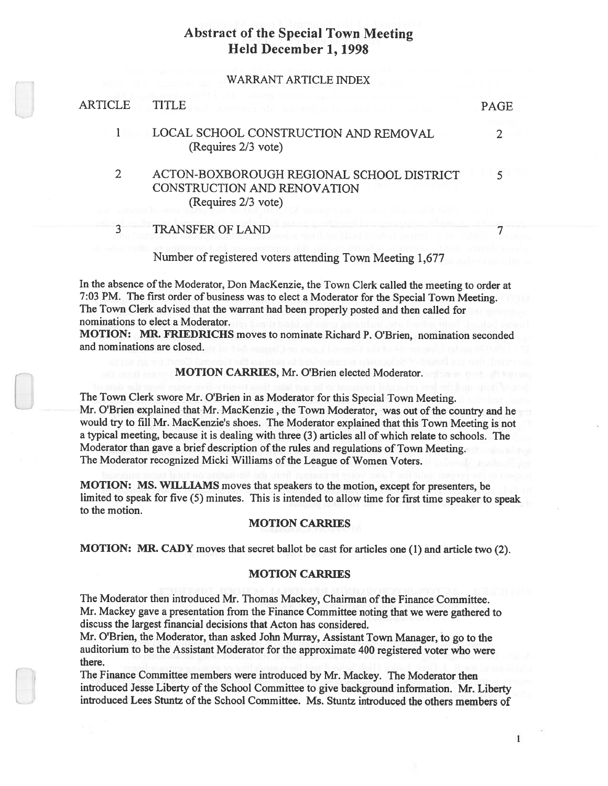### WARRANT ARTICLE INDEX

| ARTICLE | TITLE                                                                                           | <b>PAGE</b> |
|---------|-------------------------------------------------------------------------------------------------|-------------|
|         | LOCAL SCHOOL CONSTRUCTION AND REMOVAL<br>(Requires 2/3 vote)                                    |             |
| 2       | ACTON-BOXBOROUGH REGIONAL SCHOOL DISTRICT<br>CONSTRUCTION AND RENOVATION<br>(Requires 2/3 vote) |             |
|         | <b>TRANSFER OF LAND</b>                                                                         |             |
|         |                                                                                                 |             |

Number of registered voters attending Town Meeting 1,677

In the absence of the Moderator, Don MacKenzie, the Town Clerk called the meeting to order at 7:03 PM. The first order of business was to elect <sup>a</sup> Moderator for the Special Town Meeting. The Town Clerk advised that the warrant had been properly posted and then called for nominations to elect <sup>a</sup> Moderator.

MOTION: MR. FRIEDRICHS moves to nominate Richard P. O'Brien, nomination seconded and nominations are closed.

### MOTION CARRIES, Mr. O'Brien elected Moderator.

The Town Clerk swore Mr. O'Brien in as Moderator for this Special Town Meeting. Mr. O'Brien explained that Mr. MacKenzie, the Town Moderator, was out of the country and he would fry to fill Mr. MacKenzie's shoes. The Moderator explained that this Town Meeting is not <sup>a</sup> typical meeting, because it is dealing with three (3) articles all of which relate to schools. The Moderator than gave a brief description of the rules and regulations of Town Meeting. The Moderator recognized Micki Williams of the League of Women Voters.

MOTION: MS. WILLIAMS moves that speakers to the motion, excep<sup>t</sup> for presenters, be limited to spea<sup>k</sup> for five (5) minutes. This is intended to allow time for first time speaker to spea<sup>k</sup> to the motion.

## MOTION CARRIES

MOTION: MR. CADY moves that secret ballot be cast for articles one (1) and article two (2).

## MOTION CARRIES

The Moderator then introduced Mr. Thomas Mackey, Chairman ofthe Finance Committee. Mr. Mackey gave <sup>a</sup> presentation from the Finance Committee noting that we were gathered to discuss the largest financial decisions that Acton has considered.

Mr. O'Brien, the Moderator, than asked John Murray, Assistant Town Manager, to go to the auditorium to be the Assistant Moderator for the approximate <sup>400</sup> registered voter who were there.

The Finance Committee members were introduced by Mr. Mackey. The Moderator then introduced Jesse Liberty of the School Committee to give background information. Mr. Liberty introduced Lees Stuntz of the School Committee. Ms. Stuntz introduced the others members of

 $\mathbf{1}$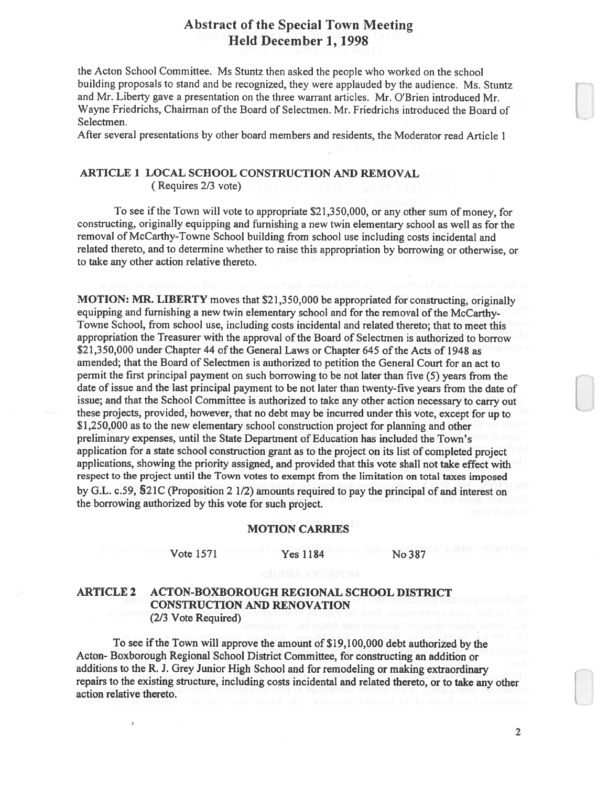the Acton School Committee. Ms Stuntz then asked the people who worked on the school building proposals to stand and be recognized, they were applauded by the audience. Ms. Stuntz and Mr. Liberty gave <sup>a</sup> presentation on the three warrant articles. Mr. O'Brien introduced Mr. Wayne Friedrichs, Chairman of the Board of Selectmen. Mr. Friedrichs introduced the Board of Selectmen.

After several presentations by other board members and residents, the Moderator read Article 1

# ARTICLE 1 LOCAL SCHOOL CONSTRUCTION AND REMOVAL

(Requires 2/3 vote)

To see if the Town will vote to appropriate \$21,350,000, or any other sum of money, for constructing, originally equipping and furnishing <sup>a</sup> new twin elementary school as well as for the removal of McCarthy-Towne School building from school use including costs incidental and related thereto, and to determine whether to raise this appropriation by borrowing or otherwise, or to take any other action relative thereto.

MOTION: MR. LIBERTY moves that \$21,350,000 be appropriated for constructing, originally equipping and furnishing a new twin elementary school and for the removal of the McCarthy-Towne School, from school use, including costs incidental and related thereto; that to meet this appropriation the Treasurer with the approval of the Board of Selectmen is authorized to borrow \$21,350,000 under Chapter 44 of the General Laws or Chapter 645 of the Acts of 1948 as amended; that the Board of Selectmen is authorized to petition the General Court for an act to permit the first principal paymen<sup>t</sup> on such borrowing to be not later than five (5) years from the date of issue and the last principal paymen<sup>t</sup> to be not later than twenty-five years from the date of issue; and that the School Committee is authorized to take any other action necessary to carry out these projects, provided, however, that no debt may be incurred under this vote, excep<sup>t</sup> for up to \$1,250,000 as to the new elementary school construction project for <sup>p</sup>lanning and other preliminary expenses, until the State Department of Education has included the Town's application for <sup>a</sup> state school construction gran<sup>t</sup> as to the project on its list of completed project applications, showing the priority assigned, and provided that this vote shall not take effect with respec<sup>t</sup> to the project until the Town votes to exemp<sup>t</sup> from the limitation on total taxes imposed by G.L. c.59, S21C (Proposition 2 1/2) amounts required to pay the principal of and interest on the borrowing authorized by this vote for such project.

### MOTION CARRIES

## Vote 1571 Yes 1184 No 387

## ARTICLE 2 ACTON-BOXBOROUGH REGIONAL SCHOOL DISTRICT CONSTRUCTION AND RENOVATION (2/3 Vote Required)

To see ifthe Town will approve the amount of \$19,100,000 debt authorized by the Acton- Boxborough Regional School District Committee, for constructing an addition or additions to the R. J. Grey Junior High School and for remodeling or making extraordinary repairs to the existing structure, including costs incidental and related thereto, or to take any other action relative thereto.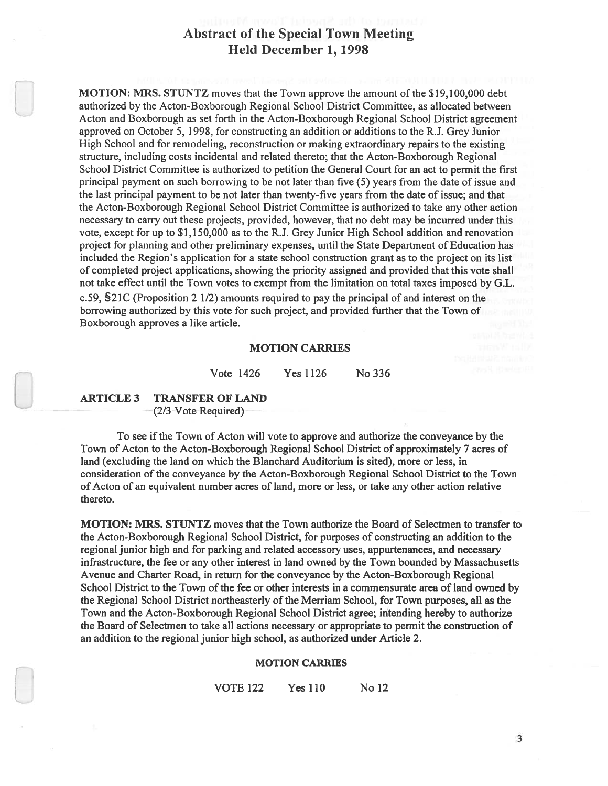MOTION: MRS. STUNTZ moves that the Town approve the amount of the \$19,100,000 debt authorized by the Acton-Boxborough Regional School District Committee, as allocated between Acton and Boxborough as set forth in the Acton-Boxborough Regional School District agreemen<sup>t</sup> approved on October 5, 1998, for constructing an addition or additions to the R.J. Grey Junior High School and for remodeling, reconstruction or making extraordinary repairs to the existing structure, including costs incidental and related thereto; that the Acton-Boxborough Regional School District Committee is authorized to petition the General Court for an act to permit the first principal paymen<sup>t</sup> on such borrowing to be not later than five (5) years from the date of issue and the last principal paymen<sup>t</sup> to be not later than twenty-five years from the date of issue; and that the Acton-Boxborough Regional School District Committee is authorized to take any other action necessary to carry out these projects, provided, however, that no debt may be incurred under this vote, excep<sup>t</sup> for up to \$1,150,000 as to the R.J. Grey Junior High School addition and renovation project for planning and other preliminary expenses, until the State Department of Education has included the Region's application for <sup>a</sup> state school construction gran<sup>t</sup> as to the project on its list of completed project applications, showing the priority assigned and provided that this vote shall not take effect until the Town votes to exemp<sup>t</sup> from the limitation on total taxes imposed by G.L. c.59, 521C (Proposition 2 1/2) amounts required to pay the principal of and interest on the borrowing authorized by this vote for such project, and provided further that the Town of Boxborough approves <sup>a</sup> like article.

MOTION CARRIES<br>Vote 1426 Yes 1126 No 336

## ARTICLE 3 TRANSFER OF LAND  $(2/3$ -Vote Required)

To see ifthe Town of Acton will vote to approve and authorize the conveyance by the Town of Acton to the Acton-Boxborough Regional School District of approximately 7 acres of land (excluding the land on which the Blanchard Auditorium is sited), more or less, in consideration of the conveyance by the Acton-Boxborough Regional School District to the Town of Acton of an equivalent number acres of land, more or less, or take any other action relative thereto.

MOTION: MRS. STUNTZ moves that the Town authorize the Board of Selectmen to transfer to the Acton-Boxborough Regional School District, for purposes of constructing an addition to the regional junior high and for parking and related accessory uses, appurtenances, and necessary infrastructure, the fee or any other interest in land owned by the Town bounded by Massachusetts Avenue and Charter Road, in return for the conveyance by the Acton-Boxborough Regional School District to the Town of the fee or other interests in <sup>a</sup> commensurate area of land owned by the Regional School District northeasterly of the Merriam School, for Town purposes, all as the Town and the Acton-Boxborough Regional School District agree; intending hereby to authorize the Board of Selectmen to take all actions necessary or appropriate to permit the construction of an addition to the regional junior high school, as authorized under Article 2.

### MOTION CARRIES

VOTE 122 Yes 110 No 12

3